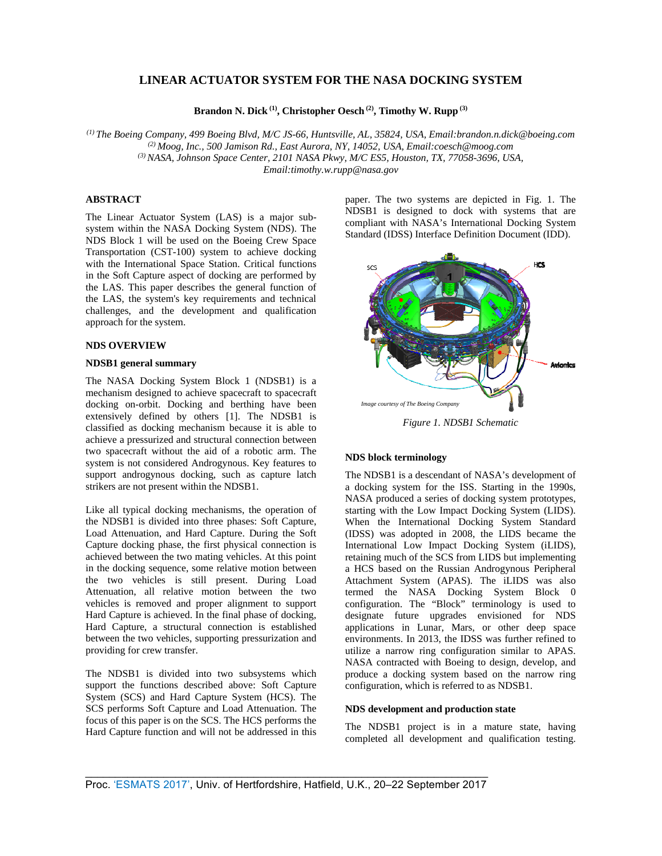# **LINEAR ACTUATOR SYSTEM FOR THE NASA DOCKING SYSTEM**

**Brandon N. Dick (1), Christopher Oesch (2), Timothy W. Rupp (3)**

*(1) The Boeing Company, 499 Boeing Blvd, M/C JS-66, Huntsville, AL, 35824, USA, Email:brandon.n.dick@boeing.com (2) Moog, Inc., 500 Jamison Rd., East Aurora, NY, 14052, USA, Email:coesch@moog.com (3) NASA, Johnson Space Center, 2101 NASA Pkwy, M/C ES5, Houston, TX, 77058-3696, USA, Email:timothy.w.rupp@nasa.gov* 

### **ABSTRACT**

The Linear Actuator System (LAS) is a major subsystem within the NASA Docking System (NDS). The NDS Block 1 will be used on the Boeing Crew Space Transportation (CST-100) system to achieve docking with the International Space Station. Critical functions in the Soft Capture aspect of docking are performed by the LAS. This paper describes the general function of the LAS, the system's key requirements and technical challenges, and the development and qualification approach for the system.

### **NDS OVERVIEW**

### **NDSB1 general summary**

The NASA Docking System Block 1 (NDSB1) is a mechanism designed to achieve spacecraft to spacecraft docking on-orbit. Docking and berthing have been extensively defined by others [1]. The NDSB1 is classified as docking mechanism because it is able to achieve a pressurized and structural connection between two spacecraft without the aid of a robotic arm. The system is not considered Androgynous. Key features to support androgynous docking, such as capture latch strikers are not present within the NDSB1.

Like all typical docking mechanisms, the operation of the NDSB1 is divided into three phases: Soft Capture, Load Attenuation, and Hard Capture. During the Soft Capture docking phase, the first physical connection is achieved between the two mating vehicles. At this point in the docking sequence, some relative motion between the two vehicles is still present. During Load Attenuation, all relative motion between the two vehicles is removed and proper alignment to support Hard Capture is achieved. In the final phase of docking, Hard Capture, a structural connection is established between the two vehicles, supporting pressurization and providing for crew transfer.

The NDSB1 is divided into two subsystems which support the functions described above: Soft Capture System (SCS) and Hard Capture System (HCS). The SCS performs Soft Capture and Load Attenuation. The focus of this paper is on the SCS. The HCS performs the Hard Capture function and will not be addressed in this paper. The two systems are depicted in Fig. 1. The NDSB1 is designed to dock with systems that are compliant with NASA's International Docking System Standard (IDSS) Interface Definition Document (IDD).



*Figure 1. NDSB1 Schematic* 

### **NDS block terminology**

The NDSB1 is a descendant of NASA's development of a docking system for the ISS. Starting in the 1990s, NASA produced a series of docking system prototypes, starting with the Low Impact Docking System (LIDS). When the International Docking System Standard (IDSS) was adopted in 2008, the LIDS became the International Low Impact Docking System (iLIDS), retaining much of the SCS from LIDS but implementing a HCS based on the Russian Androgynous Peripheral Attachment System (APAS). The iLIDS was also termed the NASA Docking System Block 0 configuration. The "Block" terminology is used to designate future upgrades envisioned for NDS applications in Lunar, Mars, or other deep space environments. In 2013, the IDSS was further refined to utilize a narrow ring configuration similar to APAS. NASA contracted with Boeing to design, develop, and produce a docking system based on the narrow ring configuration, which is referred to as NDSB1.

#### **NDS development and production state**

The NDSB1 project is in a mature state, having completed all development and qualification testing.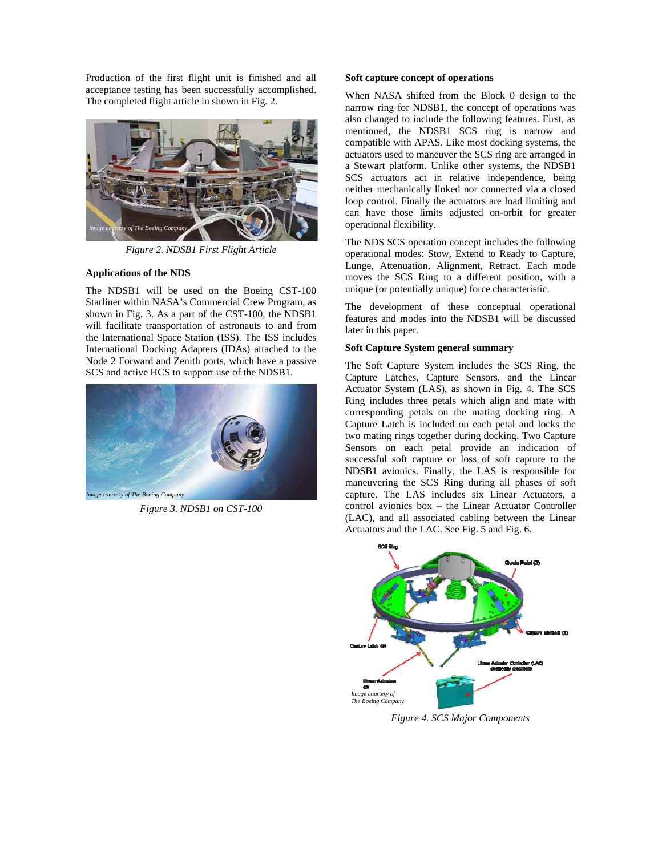Production of the first flight unit is finished and all acceptance testing has been successfully accomplished. The completed flight article in shown in Fig. 2.



*Figure 2. NDSB1 First Flight Article* 

## **Applications of the NDS**

The NDSB1 will be used on the Boeing CST-100 Starliner within NASA's Commercial Crew Program, as shown in Fig. 3. As a part of the CST-100, the NDSB1 will facilitate transportation of astronauts to and from the International Space Station (ISS). The ISS includes International Docking Adapters (IDAs) attached to the Node 2 Forward and Zenith ports, which have a passive SCS and active HCS to support use of the NDSB1.



*Figure 3. NDSB1 on CST-100* 

### **Soft capture concept of operations**

When NASA shifted from the Block 0 design to the narrow ring for NDSB1, the concept of operations was also changed to include the following features. First, as mentioned, the NDSB1 SCS ring is narrow and compatible with APAS. Like most docking systems, the actuators used to maneuver the SCS ring are arranged in a Stewart platform. Unlike other systems, the NDSB1 SCS actuators act in relative independence, being neither mechanically linked nor connected via a closed loop control. Finally the actuators are load limiting and can have those limits adjusted on-orbit for greater operational flexibility.

The NDS SCS operation concept includes the following operational modes: Stow, Extend to Ready to Capture, Lunge, Attenuation, Alignment, Retract. Each mode moves the SCS Ring to a different position, with a unique (or potentially unique) force characteristic.

The development of these conceptual operational features and modes into the NDSB1 will be discussed later in this paper.

## **Soft Capture System general summary**

The Soft Capture System includes the SCS Ring, the Capture Latches, Capture Sensors, and the Linear Actuator System (LAS), as shown in Fig. 4. The SCS Ring includes three petals which align and mate with corresponding petals on the mating docking ring. A Capture Latch is included on each petal and locks the two mating rings together during docking. Two Capture Sensors on each petal provide an indication of successful soft capture or loss of soft capture to the NDSB1 avionics. Finally, the LAS is responsible for maneuvering the SCS Ring during all phases of soft capture. The LAS includes six Linear Actuators, a control avionics box – the Linear Actuator Controller (LAC), and all associated cabling between the Linear Actuators and the LAC. See Fig. 5 and Fig. 6.



*Figure 4. SCS Major Components*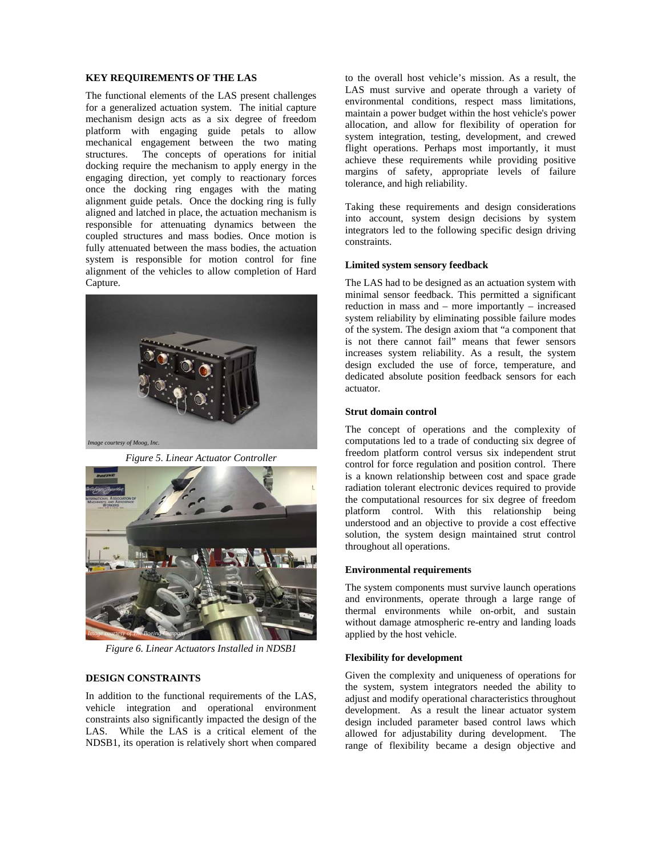### **KEY REQUIREMENTS OF THE LAS**

The functional elements of the LAS present challenges for a generalized actuation system. The initial capture mechanism design acts as a six degree of freedom platform with engaging guide petals to allow mechanical engagement between the two mating structures. The concepts of operations for initial docking require the mechanism to apply energy in the engaging direction, yet comply to reactionary forces once the docking ring engages with the mating alignment guide petals. Once the docking ring is fully aligned and latched in place, the actuation mechanism is responsible for attenuating dynamics between the coupled structures and mass bodies. Once motion is fully attenuated between the mass bodies, the actuation system is responsible for motion control for fine alignment of the vehicles to allow completion of Hard Capture.



*Figure 5. Linear Actuator Controller* 



*Figure 6. Linear Actuators Installed in NDSB1* 

### **DESIGN CONSTRAINTS**

In addition to the functional requirements of the LAS, vehicle integration and operational environment constraints also significantly impacted the design of the LAS. While the LAS is a critical element of the NDSB1, its operation is relatively short when compared to the overall host vehicle's mission. As a result, the LAS must survive and operate through a variety of environmental conditions, respect mass limitations, maintain a power budget within the host vehicle's power allocation, and allow for flexibility of operation for system integration, testing, development, and crewed flight operations. Perhaps most importantly, it must achieve these requirements while providing positive margins of safety, appropriate levels of failure tolerance, and high reliability.

Taking these requirements and design considerations into account, system design decisions by system integrators led to the following specific design driving constraints.

#### **Limited system sensory feedback**

The LAS had to be designed as an actuation system with minimal sensor feedback. This permitted a significant reduction in mass and – more importantly – increased system reliability by eliminating possible failure modes of the system. The design axiom that "a component that is not there cannot fail" means that fewer sensors increases system reliability. As a result, the system design excluded the use of force, temperature, and dedicated absolute position feedback sensors for each actuator.

### **Strut domain control**

The concept of operations and the complexity of computations led to a trade of conducting six degree of freedom platform control versus six independent strut control for force regulation and position control. There is a known relationship between cost and space grade radiation tolerant electronic devices required to provide the computational resources for six degree of freedom platform control. With this relationship being understood and an objective to provide a cost effective solution, the system design maintained strut control throughout all operations.

#### **Environmental requirements**

The system components must survive launch operations and environments, operate through a large range of thermal environments while on-orbit, and sustain without damage atmospheric re-entry and landing loads applied by the host vehicle.

### **Flexibility for development**

Given the complexity and uniqueness of operations for the system, system integrators needed the ability to adjust and modify operational characteristics throughout development. As a result the linear actuator system design included parameter based control laws which allowed for adjustability during development. The range of flexibility became a design objective and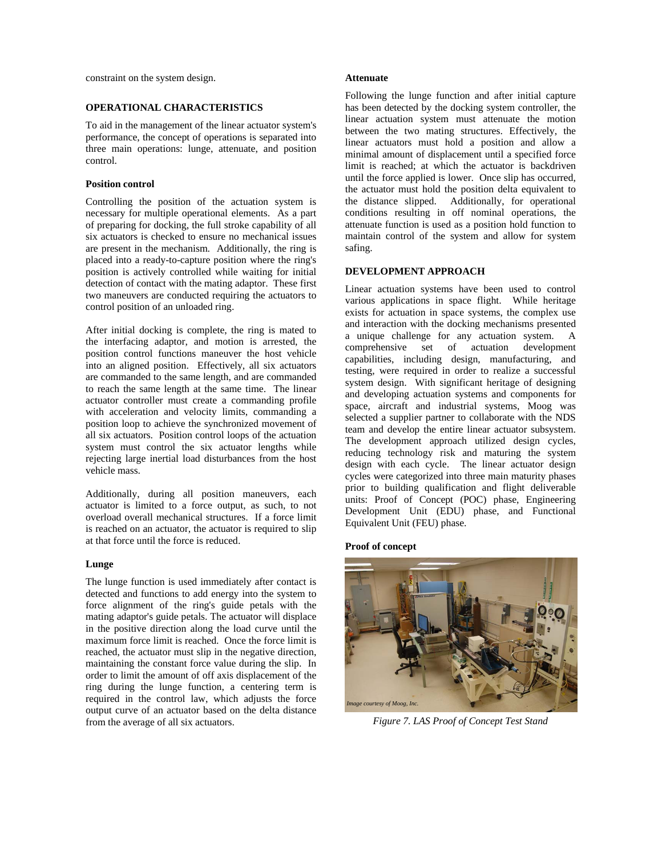constraint on the system design.

### **OPERATIONAL CHARACTERISTICS**

To aid in the management of the linear actuator system's performance, the concept of operations is separated into three main operations: lunge, attenuate, and position control.

### **Position control**

Controlling the position of the actuation system is necessary for multiple operational elements. As a part of preparing for docking, the full stroke capability of all six actuators is checked to ensure no mechanical issues are present in the mechanism. Additionally, the ring is placed into a ready-to-capture position where the ring's position is actively controlled while waiting for initial detection of contact with the mating adaptor. These first two maneuvers are conducted requiring the actuators to control position of an unloaded ring.

After initial docking is complete, the ring is mated to the interfacing adaptor, and motion is arrested, the position control functions maneuver the host vehicle into an aligned position. Effectively, all six actuators are commanded to the same length, and are commanded to reach the same length at the same time. The linear actuator controller must create a commanding profile with acceleration and velocity limits, commanding a position loop to achieve the synchronized movement of all six actuators. Position control loops of the actuation system must control the six actuator lengths while rejecting large inertial load disturbances from the host vehicle mass.

Additionally, during all position maneuvers, each actuator is limited to a force output, as such, to not overload overall mechanical structures. If a force limit is reached on an actuator, the actuator is required to slip at that force until the force is reduced.

#### **Lunge**

The lunge function is used immediately after contact is detected and functions to add energy into the system to force alignment of the ring's guide petals with the mating adaptor's guide petals. The actuator will displace in the positive direction along the load curve until the maximum force limit is reached. Once the force limit is reached, the actuator must slip in the negative direction, maintaining the constant force value during the slip. In order to limit the amount of off axis displacement of the ring during the lunge function, a centering term is required in the control law, which adjusts the force output curve of an actuator based on the delta distance from the average of all six actuators.

#### **Attenuate**

Following the lunge function and after initial capture has been detected by the docking system controller, the linear actuation system must attenuate the motion between the two mating structures. Effectively, the linear actuators must hold a position and allow a minimal amount of displacement until a specified force limit is reached; at which the actuator is backdriven until the force applied is lower. Once slip has occurred, the actuator must hold the position delta equivalent to the distance slipped. Additionally, for operational conditions resulting in off nominal operations, the attenuate function is used as a position hold function to maintain control of the system and allow for system safing.

### **DEVELOPMENT APPROACH**

Linear actuation systems have been used to control various applications in space flight. While heritage exists for actuation in space systems, the complex use and interaction with the docking mechanisms presented a unique challenge for any actuation system. A comprehensive set of actuation development capabilities, including design, manufacturing, and testing, were required in order to realize a successful system design. With significant heritage of designing and developing actuation systems and components for space, aircraft and industrial systems, Moog was selected a supplier partner to collaborate with the NDS team and develop the entire linear actuator subsystem. The development approach utilized design cycles, reducing technology risk and maturing the system design with each cycle. The linear actuator design cycles were categorized into three main maturity phases prior to building qualification and flight deliverable units: Proof of Concept (POC) phase, Engineering Development Unit (EDU) phase, and Functional Equivalent Unit (FEU) phase.

### **Proof of concept**



*Figure 7. LAS Proof of Concept Test Stand*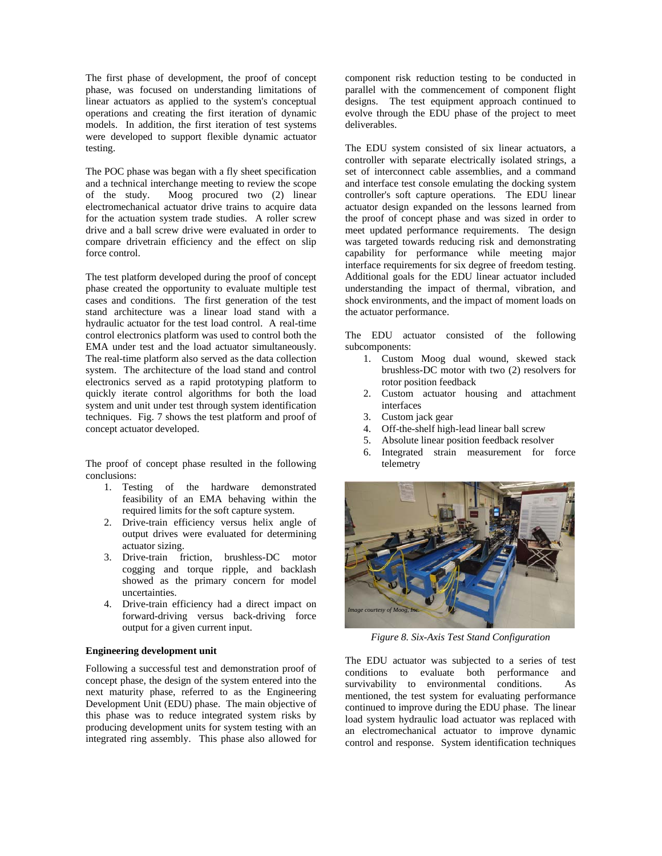The first phase of development, the proof of concept phase, was focused on understanding limitations of linear actuators as applied to the system's conceptual operations and creating the first iteration of dynamic models. In addition, the first iteration of test systems were developed to support flexible dynamic actuator testing.

The POC phase was began with a fly sheet specification and a technical interchange meeting to review the scope of the study. Moog procured two (2) linear electromechanical actuator drive trains to acquire data for the actuation system trade studies. A roller screw drive and a ball screw drive were evaluated in order to compare drivetrain efficiency and the effect on slip force control.

The test platform developed during the proof of concept phase created the opportunity to evaluate multiple test cases and conditions. The first generation of the test stand architecture was a linear load stand with a hydraulic actuator for the test load control. A real-time control electronics platform was used to control both the EMA under test and the load actuator simultaneously. The real-time platform also served as the data collection system. The architecture of the load stand and control electronics served as a rapid prototyping platform to quickly iterate control algorithms for both the load system and unit under test through system identification techniques. Fig. 7 shows the test platform and proof of concept actuator developed.

The proof of concept phase resulted in the following conclusions:

- 1. Testing of the hardware demonstrated feasibility of an EMA behaving within the required limits for the soft capture system.
- 2. Drive-train efficiency versus helix angle of output drives were evaluated for determining actuator sizing.
- 3. Drive-train friction, brushless-DC motor cogging and torque ripple, and backlash showed as the primary concern for model uncertainties.
- 4. Drive-train efficiency had a direct impact on forward-driving versus back-driving force output for a given current input.

#### **Engineering development unit**

Following a successful test and demonstration proof of concept phase, the design of the system entered into the next maturity phase, referred to as the Engineering Development Unit (EDU) phase. The main objective of this phase was to reduce integrated system risks by producing development units for system testing with an integrated ring assembly. This phase also allowed for

component risk reduction testing to be conducted in parallel with the commencement of component flight designs. The test equipment approach continued to evolve through the EDU phase of the project to meet deliverables.

The EDU system consisted of six linear actuators, a controller with separate electrically isolated strings, a set of interconnect cable assemblies, and a command and interface test console emulating the docking system controller's soft capture operations. The EDU linear actuator design expanded on the lessons learned from the proof of concept phase and was sized in order to meet updated performance requirements. The design was targeted towards reducing risk and demonstrating capability for performance while meeting major interface requirements for six degree of freedom testing. Additional goals for the EDU linear actuator included understanding the impact of thermal, vibration, and shock environments, and the impact of moment loads on the actuator performance.

The EDU actuator consisted of the following subcomponents:

- 1. Custom Moog dual wound, skewed stack brushless-DC motor with two (2) resolvers for rotor position feedback
- 2. Custom actuator housing and attachment interfaces
- 3. Custom jack gear
- 4. Off-the-shelf high-lead linear ball screw
- 5. Absolute linear position feedback resolver
- 6. Integrated strain measurement for force telemetry



*Figure 8. Six-Axis Test Stand Configuration* 

The EDU actuator was subjected to a series of test conditions to evaluate both performance and survivability to environmental conditions. As mentioned, the test system for evaluating performance continued to improve during the EDU phase. The linear load system hydraulic load actuator was replaced with an electromechanical actuator to improve dynamic control and response. System identification techniques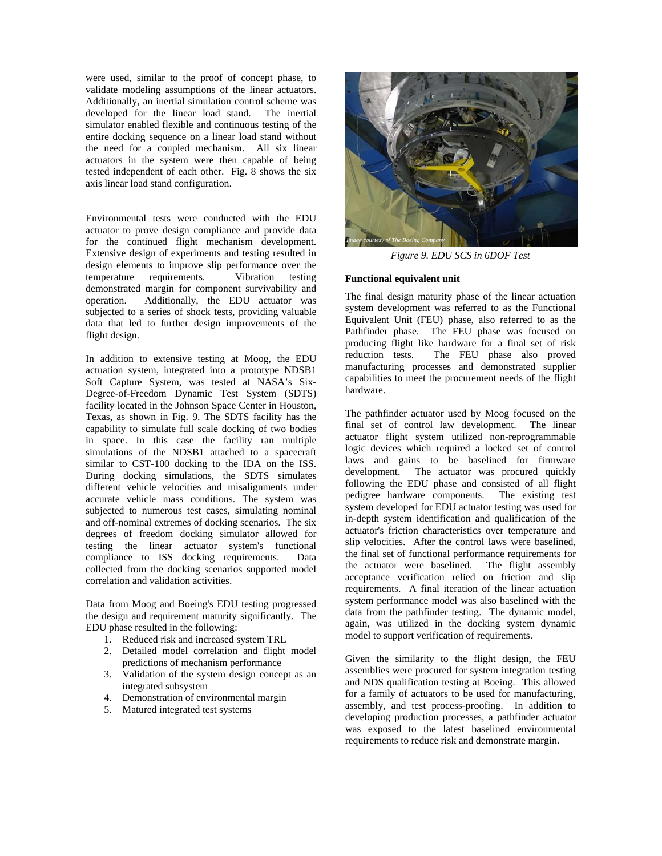were used, similar to the proof of concept phase, to validate modeling assumptions of the linear actuators. Additionally, an inertial simulation control scheme was developed for the linear load stand. The inertial simulator enabled flexible and continuous testing of the entire docking sequence on a linear load stand without the need for a coupled mechanism. All six linear actuators in the system were then capable of being tested independent of each other. Fig. 8 shows the six axis linear load stand configuration.

Environmental tests were conducted with the EDU actuator to prove design compliance and provide data for the continued flight mechanism development. Extensive design of experiments and testing resulted in design elements to improve slip performance over the temperature requirements. Vibration testing demonstrated margin for component survivability and operation. Additionally, the EDU actuator was subjected to a series of shock tests, providing valuable data that led to further design improvements of the flight design.

In addition to extensive testing at Moog, the EDU actuation system, integrated into a prototype NDSB1 Soft Capture System, was tested at NASA's Six-Degree-of-Freedom Dynamic Test System (SDTS) facility located in the Johnson Space Center in Houston, Texas, as shown in Fig. 9. The SDTS facility has the capability to simulate full scale docking of two bodies in space. In this case the facility ran multiple simulations of the NDSB1 attached to a spacecraft similar to CST-100 docking to the IDA on the ISS. During docking simulations, the SDTS simulates different vehicle velocities and misalignments under accurate vehicle mass conditions. The system was subjected to numerous test cases, simulating nominal and off-nominal extremes of docking scenarios. The six degrees of freedom docking simulator allowed for testing the linear actuator system's functional compliance to ISS docking requirements. Data collected from the docking scenarios supported model correlation and validation activities.

Data from Moog and Boeing's EDU testing progressed the design and requirement maturity significantly. The EDU phase resulted in the following:

- 1. Reduced risk and increased system TRL
- 2. Detailed model correlation and flight model predictions of mechanism performance
- 3. Validation of the system design concept as an integrated subsystem
- 4. Demonstration of environmental margin
- 5. Matured integrated test systems



*Figure 9. EDU SCS in 6DOF Test* 

### **Functional equivalent unit**

The final design maturity phase of the linear actuation system development was referred to as the Functional Equivalent Unit (FEU) phase, also referred to as the Pathfinder phase. The FEU phase was focused on producing flight like hardware for a final set of risk reduction tests. The FEU phase also proved manufacturing processes and demonstrated supplier capabilities to meet the procurement needs of the flight hardware.

The pathfinder actuator used by Moog focused on the final set of control law development. The linear actuator flight system utilized non-reprogrammable logic devices which required a locked set of control laws and gains to be baselined for firmware development. The actuator was procured quickly following the EDU phase and consisted of all flight pedigree hardware components. The existing test system developed for EDU actuator testing was used for in-depth system identification and qualification of the actuator's friction characteristics over temperature and slip velocities. After the control laws were baselined, the final set of functional performance requirements for the actuator were baselined. The flight assembly acceptance verification relied on friction and slip requirements. A final iteration of the linear actuation system performance model was also baselined with the data from the pathfinder testing. The dynamic model, again, was utilized in the docking system dynamic model to support verification of requirements.

Given the similarity to the flight design, the FEU assemblies were procured for system integration testing and NDS qualification testing at Boeing. This allowed for a family of actuators to be used for manufacturing, assembly, and test process-proofing. In addition to developing production processes, a pathfinder actuator was exposed to the latest baselined environmental requirements to reduce risk and demonstrate margin.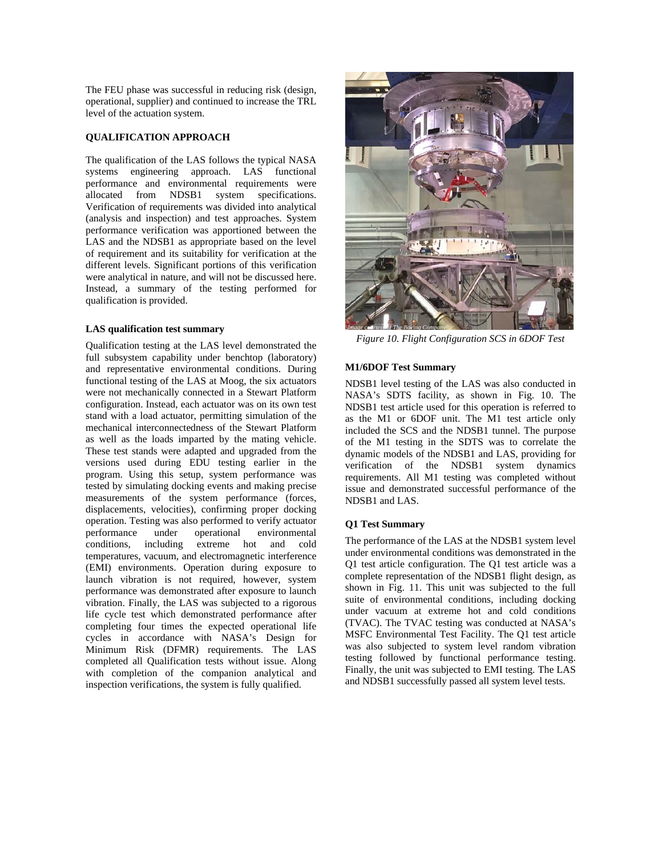The FEU phase was successful in reducing risk (design, operational, supplier) and continued to increase the TRL level of the actuation system.

## **QUALIFICATION APPROACH**

The qualification of the LAS follows the typical NASA systems engineering approach. LAS functional performance and environmental requirements were allocated from NDSB1 system specifications. Verification of requirements was divided into analytical (analysis and inspection) and test approaches. System performance verification was apportioned between the LAS and the NDSB1 as appropriate based on the level of requirement and its suitability for verification at the different levels. Significant portions of this verification were analytical in nature, and will not be discussed here. Instead, a summary of the testing performed for qualification is provided.

### **LAS qualification test summary**

Qualification testing at the LAS level demonstrated the full subsystem capability under benchtop (laboratory) and representative environmental conditions. During functional testing of the LAS at Moog, the six actuators were not mechanically connected in a Stewart Platform configuration. Instead, each actuator was on its own test stand with a load actuator, permitting simulation of the mechanical interconnectedness of the Stewart Platform as well as the loads imparted by the mating vehicle. These test stands were adapted and upgraded from the versions used during EDU testing earlier in the program. Using this setup, system performance was tested by simulating docking events and making precise measurements of the system performance (forces, displacements, velocities), confirming proper docking operation. Testing was also performed to verify actuator performance under operational environmental conditions, including extreme hot and cold temperatures, vacuum, and electromagnetic interference (EMI) environments. Operation during exposure to launch vibration is not required, however, system performance was demonstrated after exposure to launch vibration. Finally, the LAS was subjected to a rigorous life cycle test which demonstrated performance after completing four times the expected operational life cycles in accordance with NASA's Design for Minimum Risk (DFMR) requirements. The LAS completed all Qualification tests without issue. Along with completion of the companion analytical and inspection verifications, the system is fully qualified.



*Figure 10. Flight Configuration SCS in 6DOF Test* 

### **M1/6DOF Test Summary**

NDSB1 level testing of the LAS was also conducted in NASA's SDTS facility, as shown in Fig. 10. The NDSB1 test article used for this operation is referred to as the M1 or 6DOF unit. The M1 test article only included the SCS and the NDSB1 tunnel. The purpose of the M1 testing in the SDTS was to correlate the dynamic models of the NDSB1 and LAS, providing for verification of the NDSB1 system dynamics requirements. All M1 testing was completed without issue and demonstrated successful performance of the NDSB1 and LAS.

### **Q1 Test Summary**

The performance of the LAS at the NDSB1 system level under environmental conditions was demonstrated in the Q1 test article configuration. The Q1 test article was a complete representation of the NDSB1 flight design, as shown in Fig. 11. This unit was subjected to the full suite of environmental conditions, including docking under vacuum at extreme hot and cold conditions (TVAC). The TVAC testing was conducted at NASA's MSFC Environmental Test Facility. The Q1 test article was also subjected to system level random vibration testing followed by functional performance testing. Finally, the unit was subjected to EMI testing. The LAS and NDSB1 successfully passed all system level tests.